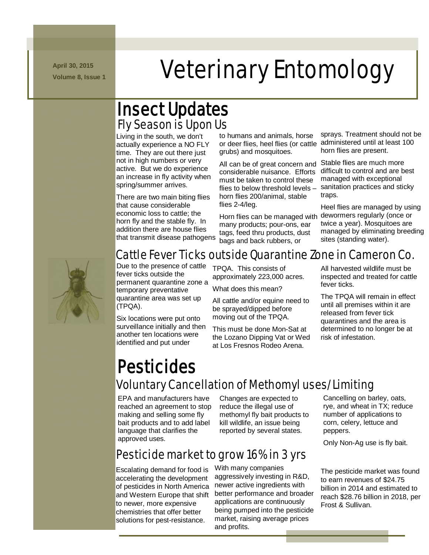**April 30, 2015**

## N m -/.///../. mmmmmmmm April 30, 2015<br>Veterinary Entomology

### Insect Updates Fly Season is Upon Us

Living in the south, we don't actually experience a NO FLY time. They are out there just not in high numbers or very active. But we do experience an increase in fly activity when spring/summer arrives.

There are two main biting flies that cause considerable economic loss to cattle; the horn fly and the stable fly. In addition there are house flies that transmit disease pathogens

to humans and animals, horse grubs) and mosquitoes.

All can be of great concern and considerable nuisance. Efforts must be taken to control these flies to below threshold levels – horn flies 200/animal, stable flies 2-4/leg.

Horn flies can be managed with many products; pour-ons, ear tags, feed thru products, dust bags and back rubbers, or

Cattle Fever Ticks outside Quarantine Zone in Cameron Co.

or deer flies, heel flies (or cattle administered until at least 100 sprays. Treatment should not be horn flies are present.

> Stable flies are much more difficult to control and are best managed with exceptional sanitation practices and sticky traps.

Heel flies are managed by using dewormers regularly (once or twice a year). Mosquitoes are managed by eliminating breeding sites (standing water).



Due to the presence of cattle fever ticks outside the permanent quarantine zone a temporary preventative quarantine area was set up (TPQA).

Six locations were put onto surveillance initially and then another ten locations were identified and put under

TPQA. This consists of approximately 223,000 acres.

What does this mean?

All cattle and/or equine need to be sprayed/dipped before moving out of the TPQA.

This must be done Mon-Sat at the Lozano Dipping Vat or Wed at Los Fresnos Rodeo Arena.

All harvested wildlife must be inspected and treated for cattle fever ticks.

The TPQA will remain in effect until all premises within it are released from fever tick quarantines and the area is determined to no longer be at risk of infestation.

# **Pesticides**<br>Voluntary Cancellation of Methomyl uses/Limiting

EPA and manufacturers have reached an agreement to stop making and selling some fly bait products and to add label language that clarifies the approved uses.

Changes are expected to reduce the illegal use of methomyl fly bait products to kill wildlife, an issue being reported by several states.

### Pesticide market to grow 16% in 3 yrs

Escalating demand for food is accelerating the development of pesticides in North America and Western Europe that shift to newer, more expensive chemistries that offer better solutions for pest-resistance.

With many companies aggressively investing in R&D, newer active ingredients with better performance and broader applications are continuously being pumped into the pesticide market, raising average prices and profits.

Cancelling on barley, oats, rye, and wheat in TX; reduce number of applications to corn, celery, lettuce and peppers.

Only Non-Ag use is fly bait.

The pesticide market was found to earn revenues of \$24.75 billion in 2014 and estimated to reach \$28.76 billion in 2018, per Frost & Sullivan.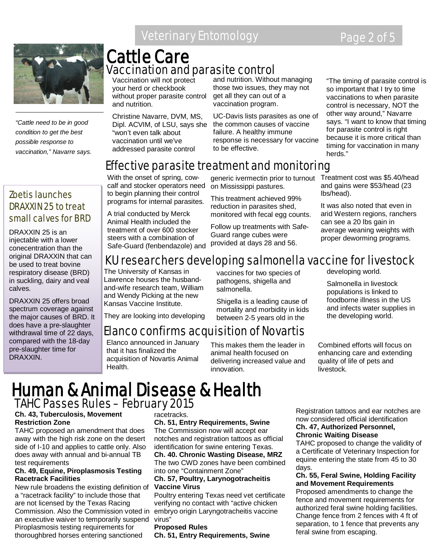### Veterinary Entomology Page 2 of 5



*"Cattle need to be in good condition to get the best possible response to vaccination," Navarre says.* 

### Cattle Care Vaccination and parasite control

Vaccination will not protect your herd or checkbook without proper parasite control and nutrition.

Christine Navarre, DVM, MS, Dipl. ACVIM, of LSU, says she "won't even talk about vaccination until we've addressed parasite control

and nutrition. Without managing those two issues, they may not get all they can out of a vaccination program.

UC-Davis lists parasites as one of the common causes of vaccine failure. A healthy immune response is necessary for vaccine to be effective.

"The timing of parasite control is so important that I try to time vaccinations to when parasite control is necessary, NOT the other way around," Navarre says. "I want to know that timing for parasite control is right because it is more critical than timing for vaccination in many herds."

#### With the onset of spring, cowcalf and stocker operators need

to begin planning their control programs for internal parasites.

A trial conducted by Merck Animal Health included the treatment of over 600 stocker steers with a combination of Safe-Guard (fenbendazole) and

generic ivermectin prior to turnout on Mississippi pastures.

This treatment achieved 99% reduction in parasites shed, monitored with fecal egg counts.

Follow up treatments with Safe-Guard range cubes were provided at days 28 and 56.

Treatment cost was \$5.40/head and gains were \$53/head (23 lbs/head).

It was also noted that even in arid Western regions, ranchers can see a 20 lbs gain in average weaning weights with proper deworming programs.

#### Zoetis launches DRAXXIN 25 to treat small calves for BRD

DRAXXIN 25 is an injectable with a lower conecentration than the original DRAXXIN that can be used to treat bovine respiratory disease (BRD) in suckling, dairy and veal calves.

DRAXXIN 25 offers broad spectrum coverage against the major causes of BRD. It does have a pre-slaughter withdrawal time of 22 days, compared with the 18-day pre-slaughter time for DRAXXIN.

### KU researchers developing salmonella vaccine for livestock

vaccines for two species of pathogens, shigella and

The University of Kansas in Lawrence houses the husbandand-wife research team, William and Wendy Picking at the new Kansas Vaccine Institute.

salmonella. Shigella is a leading cause of

Effective parasite treatment and monitoring

They are looking into developing mortality and morbidity in kids between 2-5 years old in the

### Elanco confirms acquisition of Novartis

Elanco announced in January that it has finalized the acquisition of Novartis Animal Health.

This makes them the leader in animal health focused on delivering increased value and innovation.

developing world.

Salmonella in livestock populations is linked to foodborne illness in the US and infects water supplies in the developing world.

Combined efforts will focus on enhancing care and extending quality of life of pets and livestock.

### Human & Animal Disease & Health TAHC Passes Rules – February 2015

#### **Ch. 43, Tuberculosis, Movement Restriction Zone**

TAHC proposed an amendment that does away with the high risk zone on the desert side of I-10 and applies to cattle only. Also does away with annual and bi-annual TB test requirements

#### **Ch. 49, Equine, Piroplasmosis Testing Racetrack Facilities**

New rule broadens the existing definition of a "racetrack facility" to include those that are not licensed by the Texas Racing Commission. Also the Commission voted in an executive waiver to temporarily suspend virus" Piroplasmosis testing requirements for thoroughbred horses entering sanctioned

#### racetracks.

**Ch. 51, Entry Requirements, Swine** The Commission now will accept ear notches and registration tattoos as official identification for swine entering Texas. **Ch. 40. Chronic Wasting Disease, MRZ** The two CWD zones have been combined into one "Containment Zone"

#### **Ch. 57, Poultry, Larynogotracheitis Vaccine Virus**

Poultry entering Texas need vet certificate verifying no contact with "active chicken embryo origin Laryngotracheitis vaccine

#### **Proposed Rules**

**Ch. 51, Entry Requirements, Swine**

Registration tattoos and ear notches are now considered official identification **Ch. 47, Authorized Personnel,** 

#### **Chronic Waiting Disease**

TAHC proposed to change the validity of a Certificate of Veterinary Inspection for equine entering the state from 45 to 30 days.

#### **Ch. 55, Feral Swine, Holding Facility and Movement Requirements**

Proposed amendments to change the fence and movement requirements for authorized feral swine holding facilities. Change fence from 2 fences with 4 ft of separation, to 1 fence that prevents any feral swine from escaping.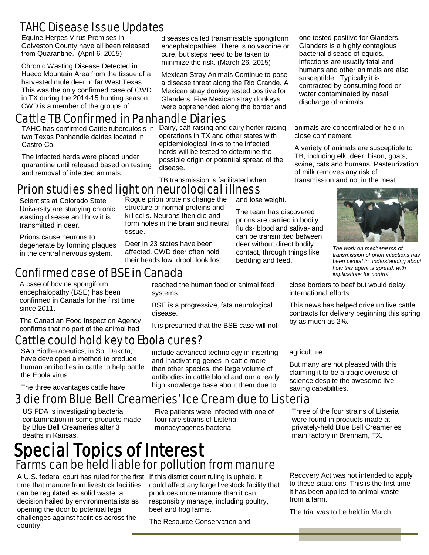### TAHC Disease Issue Updates

Equine Herpes Virus Premises in Galveston County have all been released from Quarantine. (April 6, 2015)

Chronic Wasting Disease Detected in Hueco Mountain Area from the tissue of a harvested mule deer in far West Texas. This was the only confirmed case of CWD in TX during the 2014-15 hunting season. CWD is a member of the groups of

### Cattle TB Confirmed in Panhandle Diaries

TAHC has confirmed Cattle tuberculosis in two Texas Panhandle dairies located in Castro Co.

The infected herds were placed under quarantine until released based on testing and removal of infected animals.

diseases called transmissible spongiform encephalopathies. There is no vaccine or cure, but steps need to be taken to minimize the risk. (March 26, 2015)

Mexican Stray Animals Continue to pose a disease threat along the Rio Grande. A Mexican stray donkey tested positive for Glanders. Five Mexican stray donkeys were apprehended along the border and

Dairy, calf-raising and dairy heifer raising operations in TX and other states with epidemiological links to the infected herds will be tested to determine the possible origin or potential spread of the disease.

TB transmission is facilitated when

reached the human food or animal feed

BSE is a progressive, fata neurological

It is presumed that the BSE case will not

include advanced technology in inserting and inactivating genes in cattle more than other species, the large volume of antibodies in cattle blood and our already high knowledge base about them due to

#### Prion studies shed light on neurological illness and lose weight. Roque prion proteins change the

Scientists at Colorado State University are studying chronic wasting disease and how it is transmitted in deer.

Prions cause neurons to degenerate by forming plaques in the central nervous system.

tissue. Deer in 23 states have been

structure of normal proteins and kill cells. Neurons then die and form holes in the brain and neural

affected. CWD deer often hold their heads low, drool, look lost

systems.

disease.

### Confirmed case of BSE in Canada

A case of bovine spongiform encephalopathy (BSE) has been confirmed in Canada for the first time since 2011.

The Canadian Food Inspection Agency confirms that no part of the animal had

### Cattle could hold key to Ebola cures?

SAb Biotherapeutics, in So. Dakota, have developed a method to produce human antibodies in cattle to help battle the Ebola virus.

The three advantages cattle have

### 3 die from Blue Bell Creameries' Ice Cream due to Listeria

US FDA is investigating bacterial contamination in some products made by Blue Bell Creameries after 3 deaths in Kansas.

Five patients were infected with one of four rare strains of Listeria monocytogenes bacteria.

# Special Topics of Interest Farms can be held liable for pollution from manure

A U.S. federal court has ruled for the first If this district court ruling is upheld, it time that manure from livestock facilities can be regulated as solid waste, a decision hailed by environmentalists as opening the door to potential legal challenges against facilities across the country.

could affect any large livestock facility that produces more manure than it can responsibly manage, including poultry, beef and hog farms.

The Resource Conservation and

one tested positive for Glanders. Glanders is a highly contagious bacterial disease of equids, infections are usually fatal and humans and other animals are also susceptible. Typically it is contracted by consuming food or water contaminated by nasal discharge of animals.

animals are concentrated or held in close confinement.

A variety of animals are susceptible to TB, including elk, deer, bison, goats, swine, cats and humans. Pasteurization of milk removes any risk of transmission and not in the meat.



*The work on mechanisms of transmission of prion infections has been pivotal in understanding about how this agent is spread, with implications for control*

close borders to beef but would delay international efforts.

This news has helped drive up live cattle contracts for delivery beginning this spring by as much as 2%.

agriculture.

The team has discovered prions are carried in bodily fluids- blood and saliva- and can be transmitted between deer without direct bodily contact, through things like

bedding and feed.

But many are not pleased with this claiming it to be a tragic overuse of science despite the awesome livesaving capabilities.

Three of the four strains of Listeria were found in products made at privately-held Blue Bell Creameries' main factory in Brenham, TX.

Recovery Act was not intended to apply to these situations. This is the first time it has been applied to animal waste from a farm.

The trial was to be held in March.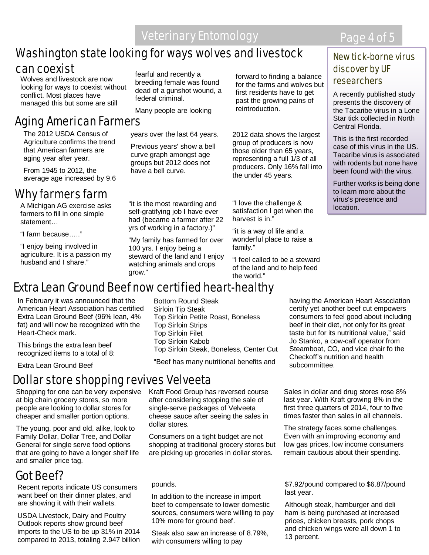#### Washington state looking for ways wolves and livestock can coexist

 managed this but some are still Wolves and livestock are now looking for ways to coexist without conflict. Most places have

### Aging American Farmers

The 2012 USDA Census of Agriculture confirms the trend that American farmers are aging year after year.

From 1945 to 2012, the average age increased by 9.6

### Why farmers farm

A Michigan AG exercise asks farmers to fill in one simple statement…

"I farm because….."

"I enjoy being involved in agriculture. It is a passion my husband and I share."

fearful and recently a breeding female was found dead of a gunshot wound, a federal criminal.

Many people are looking

years over the last 64 years.

Previous years' show a bell curve graph amongst age groups but 2012 does not have a bell curve.

"it is the most rewarding and self-gratifying job I have ever had (became a farmer after 22 yrs of working in a factory.)"

"My family has farmed for over 100 yrs. I enjoy being a steward of the land and I enjoy watching animals and crops grow."

forward to finding a balance for the farms and wolves but first residents have to get past the growing pains of reintroduction.

2012 data shows the largest group of producers is now those older than 65 years, representing a full 1/3 of all producers. Only 16% fall into the under 45 years.

"I love the challenge & satisfaction I get when the harvest is in."

"it is a way of life and a wonderful place to raise a family."

"I feel called to be a steward of the land and to help feed the world."

### Extra Lean Ground Beef now certified heart-healthy

In February it was announced that the American Heart Association has certified Extra Lean Ground Beef (96% lean, 4% fat) and will now be recognized with the Heart-Check mark.

This brings the extra lean beef recognized items to a total of 8:

Extra Lean Ground Beef

### Dollar store shopping revives Velveeta

Shopping for one can be very expensive at big chain grocery stores, so more people are looking to dollar stores for cheaper and smaller portion options.

The young, poor and old, alike, look to Family Dollar, Dollar Tree, and Dollar General for single serve food options that are going to have a longer shelf life and smaller price tag.

### Got Beef?

Recent reports indicate US consumers want beef on their dinner plates, and are showing it with their wallets.

USDA Livestock, Dairy and Poultry Outlook reports show ground beef imports to the US to be up 31% in 2014 compared to 2013, totaling 2.947 billion Bottom Round Steak Sirloin Tip Steak Top Sirloin Petite Roast, Boneless Top Sirloin Strips Top Sirloin Filet Top Sirloin Kabob Top Sirloin Steak, Boneless, Center Cut

"Beef has many nutritional benefits and

Kraft Food Group has reversed course after considering stopping the sale of single-serve packages of Velveeta cheese sauce after seeing the sales in dollar stores.

Consumers on a tight budget are not shopping at traditional grocery stores but are picking up groceries in dollar stores.

#### pounds.

In addition to the increase in import beef to compensate to lower domestic sources, consumers were willing to pay 10% more for ground beef.

Steak also saw an increase of 8.79%, with consumers willing to pay

having the American Heart Association certify yet another beef cut empowers consumers to feel good about including beef in their diet, not only for its great taste but for its nutritional value," said Jo Stanko, a cow-calf operator from Steamboat, CO, and vice chair fo the Checkoff's nutrition and health subcommittee.

Sales in dollar and drug stores rose 8% last year. With Kraft growing 8% in the first three quarters of 2014, four to five times faster than sales in all channels.

The strategy faces some challenges. Even with an improving economy and low gas prices, low income consumers remain cautious about their spending.

\$7.92/pound compared to \$6.87/pound last year.

Although steak, hamburger and deli ham is being purchased at increased prices, chicken breasts, pork chops and chicken wings were all down 1 to 13 percent.

#### New tick-borne virus discover by UF researchers

A recently published study presents the discovery of the Tacaribe virus in a Lone Star tick collected in North Central Florida.

This is the first recorded case of this virus in the US. Tacaribe virus is associated with rodents but none have been found with the virus.

Further works is being done to learn more about the virus's presence and location.